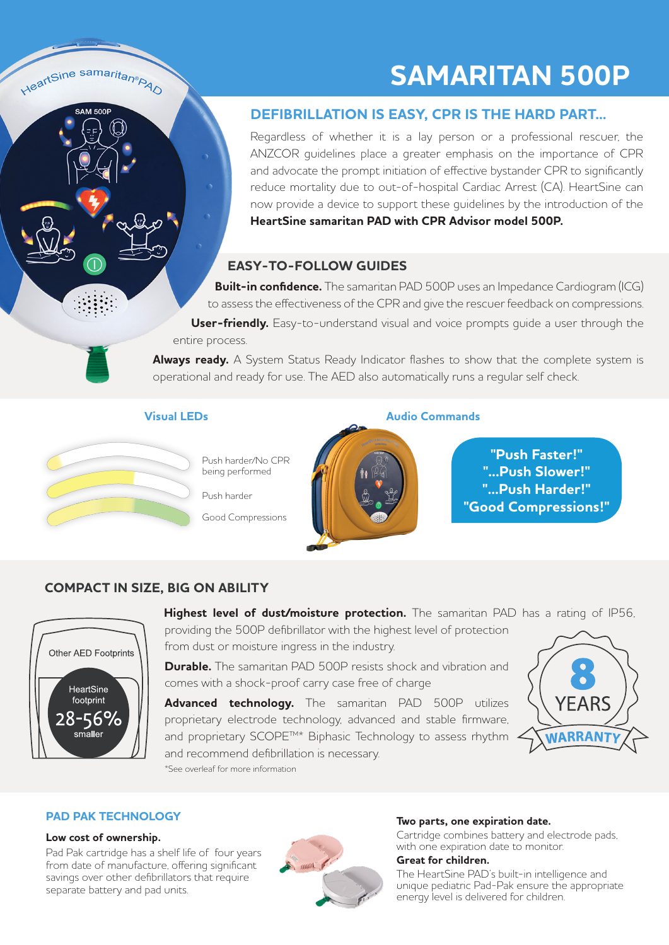## **SAMARITAN 500P**

## **DEFIBRILLATION IS EASY, CPR IS THE HARD PART...**

Regardless of whether it is a lay person or a professional rescuer, the ANZCOR guidelines place a greater emphasis on the importance of CPR and advocate the prompt initiation of effective bystander CPR to significantly reduce mortality due to out-of-hospital Cardiac Arrest (CA). HeartSine can now provide a device to support these guidelines by the introduction of the **HeartSine samaritan PAD with CPR Advisor model 500P.**

## **EASY-TO-FOLLOW GUIDES**

 **Built-in confidence.** The samaritan PAD 500P uses an Impedance Cardiogram (ICG) to assess the effectiveness of the CPR and give the rescuer feedback on compressions. **User-friendly.** Easy-to-understand visual and voice prompts guide a user through the entire process.

**Always ready.** A System Status Ready Indicator flashes to show that the complete system is operational and ready for use. The AED also automatically runs a regular self check.

### **Visual LEDs Audio Commands**



HeartSine samaritan®<sub>PAO</sub>

**SAM 500P** 

Push harder/No CPR being performed

Push harder

Good Compressions



**"Push Faster!" "...Push Slower!" "...Push Harder!" "Good Compressions!"**

## **COMPACT IN SIZE, BIG ON ABILITY**



**Highest level of dust/moisture protection.** The samaritan PAD has a rating of IP56, providing the 500P defibrillator with the highest level of protection

from dust or moisture ingress in the industry.

**Durable.** The samaritan PAD 500P resists shock and vibration and comes with a shock-proof carry case free of charge

**Advanced technology.** The samaritan PAD 500P utilizes proprietary electrode technology, advanced and stable firmware, and proprietary SCOPE™\* Biphasic Technology to assess rhythm and recommend defibrillation is necessary. \*See overleaf for more information



### **PAD PAK TECHNOLOGY**

### **Low cost of ownership.**

Pad Pak cartridge has a shelf life of four years from date of manufacture, offering significant savings over other defibrillators that require separate battery and pad units.



### **Two parts, one expiration date.**

Cartridge combines battery and electrode pads, with one expiration date to monitor.

### **Great for children.**

The HeartSine PAD's built-in intelligence and unique pediatric Pad-Pak ensure the appropriate energy level is delivered for children.